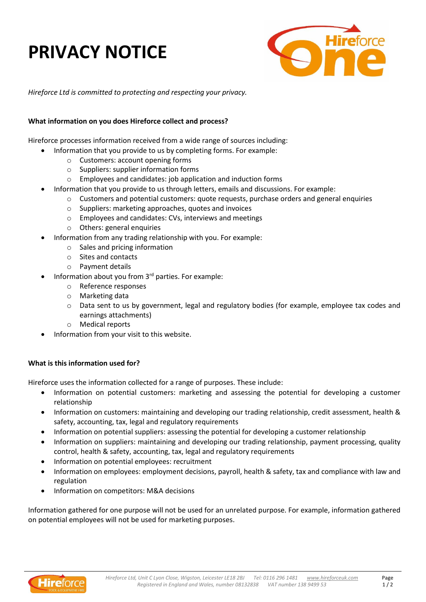# **PRIVACY NOTICE**



*Hireforce Ltd is committed to protecting and respecting your privacy.*

# **What information on you does Hireforce collect and process?**

Hireforce processes information received from a wide range of sources including:

- Information that you provide to us by completing forms. For example:
	- o Customers: account opening forms
	- o Suppliers: supplier information forms
	- o Employees and candidates: job application and induction forms
- Information that you provide to us through letters, emails and discussions. For example:
	- o Customers and potential customers: quote requests, purchase orders and general enquiries
		- o Suppliers: marketing approaches, quotes and invoices
		- o Employees and candidates: CVs, interviews and meetings
		- o Others: general enquiries
- Information from any trading relationship with you. For example:
	- o Sales and pricing information
	- o Sites and contacts
	- o Payment details
- Information about you from 3<sup>rd</sup> parties. For example:
	- o Reference responses
	- o Marketing data
	- o Data sent to us by government, legal and regulatory bodies (for example, employee tax codes and earnings attachments)
	- **Medical reports**
- Information from your visit to this website.

### **What is this information used for?**

Hireforce uses the information collected for a range of purposes. These include:

- Information on potential customers: marketing and assessing the potential for developing a customer relationship
- Information on customers: maintaining and developing our trading relationship, credit assessment, health & safety, accounting, tax, legal and regulatory requirements
- Information on potential suppliers: assessing the potential for developing a customer relationship
- Information on suppliers: maintaining and developing our trading relationship, payment processing, quality control, health & safety, accounting, tax, legal and regulatory requirements
- Information on potential employees: recruitment
- Information on employees: employment decisions, payroll, health & safety, tax and compliance with law and regulation
- Information on competitors: M&A decisions

Information gathered for one purpose will not be used for an unrelated purpose. For example, information gathered on potential employees will not be used for marketing purposes.